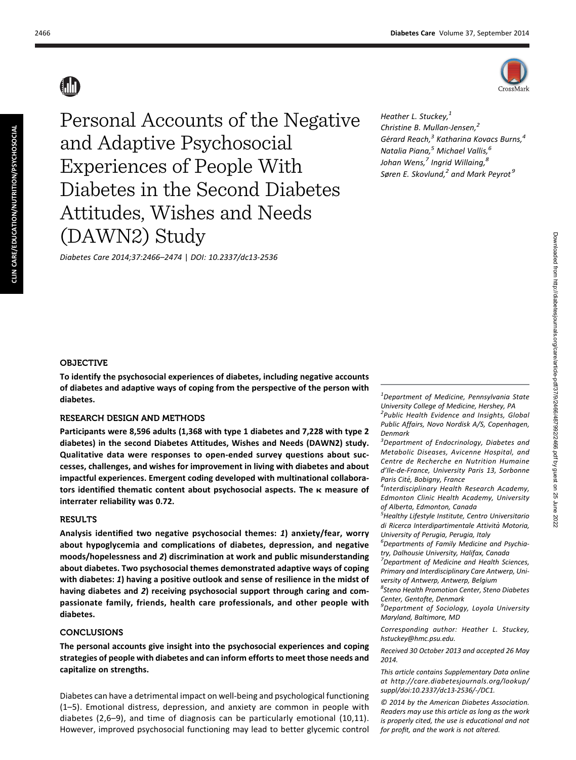

Personal Accounts of the Negative and Adaptive Psychosocial Experiences of People With Diabetes in the Second Diabetes Attitudes, Wishes and Needs (DAWN2) Study

Diabetes Care 2014;37:2466–2474 | DOI: 10.2337/dc13-2536

Heather L. Stuckey,<sup>1</sup> Christine B. Mullan-Jensen, $<sup>2</sup>$ </sup> Gérard Reach, $3$  Katharina Kovacs Burns, $4$ Natalia Piana,<sup>5</sup> Michael Vallis,<sup>6</sup> Johan Wens, $^7$  Ingrid Willaing, $^8$ Søren E. Skovlund, $^2$  and Mark Peyrot $^9$ 

## **OBJECTIVE**

To identify the psychosocial experiences of diabetes, including negative accounts of diabetes and adaptive ways of coping from the perspective of the person with diabetes.

# RESEARCH DESIGN AND METHODS

Participants were 8,596 adults (1,368 with type 1 diabetes and 7,228 with type 2 diabetes) in the second Diabetes Attitudes, Wishes and Needs (DAWN2) study. Qualitative data were responses to open-ended survey questions about successes, challenges, and wishes for improvement in living with diabetes and about impactful experiences. Emergent coding developed with multinational collaborators identified thematic content about psychosocial aspects. The  $\kappa$  measure of interrater reliability was 0.72.

### RESULTS

Analysis identified two negative psychosocial themes: 1) anxiety/fear, worry about hypoglycemia and complications of diabetes, depression, and negative moods/hopelessness and 2) discrimination at work and public misunderstanding about diabetes. Two psychosocial themes demonstrated adaptive ways of coping with diabetes: 1) having a positive outlook and sense of resilience in the midst of having diabetes and 2) receiving psychosocial support through caring and compassionate family, friends, health care professionals, and other people with diabetes.

# **CONCLUSIONS**

The personal accounts give insight into the psychosocial experiences and coping strategies of people with diabetes and can inform efforts to meet those needs and capitalize on strengths.

Diabetes can have a detrimental impact on well-being and psychological functioning (1–5). Emotional distress, depression, and anxiety are common in people with diabetes (2,6–9), and time of diagnosis can be particularly emotional (10,11). However, improved psychosocial functioning may lead to better glycemic control

<sup>1</sup>Department of Medicine, Pennsylvania State University College of Medicine, Hershey, PA <sup>2</sup> Public Health Evidence and Insights, Global Public Affairs, Novo Nordisk A/S, Copenhagen, Denmark

<sup>3</sup>Department of Endocrinology, Diabetes and Metabolic Diseases, Avicenne Hospital, and Centre de Recherche en Nutrition Humaine d'Ile-de-France, University Paris 13, Sorbonne Paris Cité, Bobiany, France

<sup>4</sup>Interdisciplinary Health Research Academy, Edmonton Clinic Health Academy, University of Alberta, Edmonton, Canada

<sup>5</sup> Healthy Lifestyle Institute, Centro Universitario di Ricerca Interdipartimentale Attività Motoria, University of Perugia, Perugia, Italy

6 Departments of Family Medicine and Psychiatry, Dalhousie University, Halifax, Canada

<sup>7</sup> Department of Medicine and Health Sciences, Primary and Interdisciplinary Care Antwerp, Uni-

versity of Antwerp, Antwerp, Belgium 8 Steno Health Promotion Center, Steno Diabetes

Center, Gentofte, Denmark 9 Department of Sociology, Loyola University

Maryland, Baltimore, MD

Corresponding author: Heather L. Stuckey, [hstuckey@hmc.psu.edu.](mailto:hstuckey@hmc.psu.edu)

Received 30 October 2013 and accepted 26 May 2014.

This article contains Supplementary Data online at [http://care.diabetesjournals.org/lookup/](http://care.diabetesjournals.org/lookup/suppl/doi:10.2337/dc13-2536/-/DC1) [suppl/doi:10.2337/dc13-2536/-/DC1.](http://care.diabetesjournals.org/lookup/suppl/doi:10.2337/dc13-2536/-/DC1)

© 2014 by the American Diabetes Association. Readers may use this article as long as the work is properly cited, the use is educational and not for profit, and the work is not altered.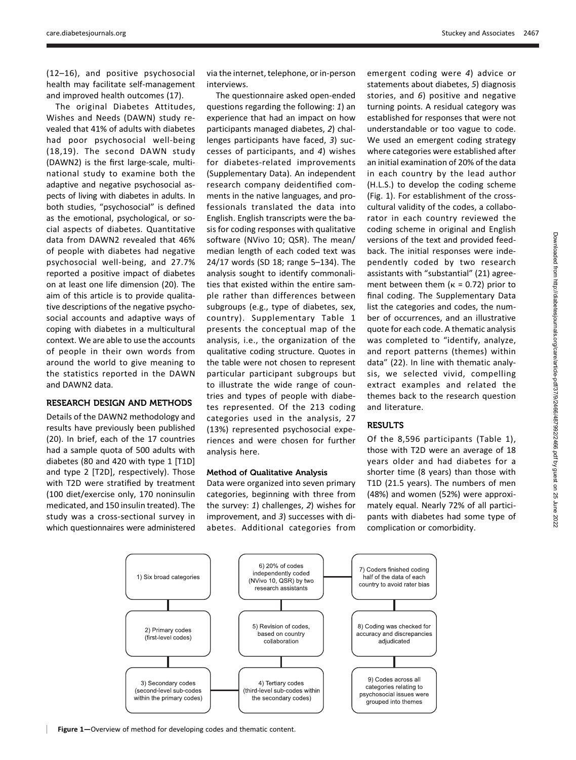(12–16), and positive psychosocial health may facilitate self-management and improved health outcomes (17).

The original Diabetes Attitudes, Wishes and Needs (DAWN) study revealed that 41% of adults with diabetes had poor psychosocial well-being (18,19). The second DAWN study (DAWN2) is the first large-scale, multinational study to examine both the adaptive and negative psychosocial aspects of living with diabetes in adults. In both studies, "psychosocial" is defined as the emotional, psychological, or social aspects of diabetes. Quantitative data from DAWN2 revealed that 46% of people with diabetes had negative psychosocial well-being, and 27.7% reported a positive impact of diabetes on at least one life dimension (20). The aim of this article is to provide qualitative descriptions of the negative psychosocial accounts and adaptive ways of coping with diabetes in a multicultural context. We are able to use the accounts of people in their own words from around the world to give meaning to the statistics reported in the DAWN and DAWN2 data.

# RESEARCH DESIGN AND METHODS

Details of the DAWN2 methodology and results have previously been published (20). In brief, each of the 17 countries had a sample quota of 500 adults with diabetes (80 and 420 with type 1 [T1D] and type 2 [T2D], respectively). Those with T2D were stratified by treatment (100 diet/exercise only, 170 noninsulin medicated, and 150 insulin treated). The study was a cross-sectional survey in which questionnaires were administered

via the internet, telephone, or in-person interviews.

The questionnaire asked open-ended questions regarding the following: 1) an experience that had an impact on how participants managed diabetes, 2) challenges participants have faced, 3) successes of participants, and 4) wishes for diabetes-related improvements [\(Supplementary Data\)](http://care.diabetesjournals.org/lookup/suppl/doi:10.2337/dc13-2536/-/DC1). An independent research company deidentified comments in the native languages, and professionals translated the data into English. English transcripts were the basis for coding responses with qualitative software (NVivo 10; QSR). The mean/ median length of each coded text was 24/17 words (SD 18; range 5–134). The analysis sought to identify commonalities that existed within the entire sample rather than differences between subgroups (e.g., type of diabetes, sex, country). [Supplementary Table 1](http://care.diabetesjournals.org/lookup/suppl/doi:10.2337/dc13-2536/-/DC1) presents the conceptual map of the analysis, i.e., the organization of the qualitative coding structure. Quotes in the table were not chosen to represent particular participant subgroups but to illustrate the wide range of countries and types of people with diabetes represented. Of the 213 coding categories used in the analysis, 27 (13%) represented psychosocial experiences and were chosen for further analysis here.

### Method of Qualitative Analysis

Data were organized into seven primary categories, beginning with three from the survey: 1) challenges, 2) wishes for improvement, and 3) successes with diabetes. Additional categories from

emergent coding were 4) advice or statements about diabetes, 5) diagnosis stories, and 6) positive and negative turning points. A residual category was established for responses that were not understandable or too vague to code. We used an emergent coding strategy where categories were established after an initial examination of 20% of the data in each country by the lead author (H.L.S.) to develop the coding scheme (Fig. 1). For establishment of the crosscultural validity of the codes, a collaborator in each country reviewed the coding scheme in original and English versions of the text and provided feedback. The initial responses were independently coded by two research assistants with "substantial" (21) agreement between them ( $\kappa$  = 0.72) prior to final coding. The [Supplementary Data](http://care.diabetesjournals.org/lookup/suppl/doi:10.2337/dc13-2536/-/DC1) list the categories and codes, the number of occurrences, and an illustrative quote for each code. A thematic analysis was completed to "identify, analyze, and report patterns (themes) within data" (22). In line with thematic analysis, we selected vivid, compelling extract examples and related the themes back to the research question and literature.

### RESULTS

Of the 8,596 participants (Table 1), those with T2D were an average of 18 years older and had diabetes for a shorter time (8 years) than those with T1D (21.5 years). The numbers of men (48%) and women (52%) were approximately equal. Nearly 72% of all participants with diabetes had some type of complication or comorbidity.



Figure 1—Overview of method for developing codes and thematic content.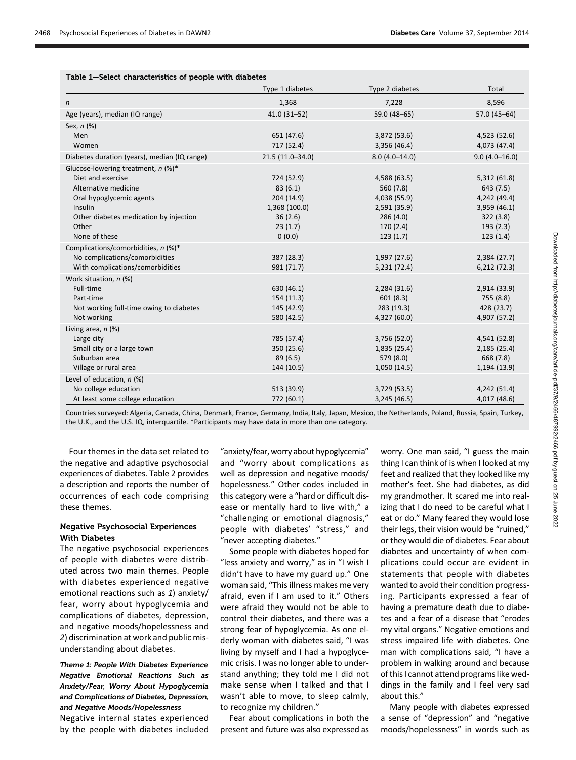| Table 1-Select characteristics of people with diabetes |                  |                 |                   |  |
|--------------------------------------------------------|------------------|-----------------|-------------------|--|
|                                                        | Type 1 diabetes  | Type 2 diabetes | Total             |  |
| n                                                      | 1,368            | 7,228           | 8,596             |  |
| Age (years), median (IQ range)                         | 41.0 (31-52)     | 59.0 (48-65)    | 57.0 (45-64)      |  |
| Sex, n (%)                                             |                  |                 |                   |  |
| Men                                                    | 651 (47.6)       | 3,872 (53.6)    | 4,523 (52.6)      |  |
| Women                                                  | 717 (52.4)       | 3,356 (46.4)    | 4,073 (47.4)      |  |
| Diabetes duration (years), median (IQ range)           | 21.5 (11.0-34.0) | $8.0(4.0-14.0)$ | $9.0(4.0 - 16.0)$ |  |
| Glucose-lowering treatment, $n$ (%)*                   |                  |                 |                   |  |
| Diet and exercise                                      | 724 (52.9)       | 4,588 (63.5)    | 5,312(61.8)       |  |
| Alternative medicine                                   | 83(6.1)          | 560 (7.8)       | 643 (7.5)         |  |
| Oral hypoglycemic agents                               | 204 (14.9)       | 4,038 (55.9)    | 4,242 (49.4)      |  |
| Insulin                                                | 1,368 (100.0)    | 2,591 (35.9)    | 3,959 (46.1)      |  |
| Other diabetes medication by injection                 | 36(2.6)          | 286(4.0)        | 322(3.8)          |  |
| Other                                                  | 23(1.7)          | 170(2.4)        | 193(2.3)          |  |
| None of these                                          | 0(0.0)           | 123(1.7)        | 123(1.4)          |  |
| Complications/comorbidities, n (%)*                    |                  |                 |                   |  |
| No complications/comorbidities                         | 387 (28.3)       | 1,997 (27.6)    | 2,384(27.7)       |  |
| With complications/comorbidities                       | 981 (71.7)       | 5,231 (72.4)    | 6,212(72.3)       |  |
| Work situation, n (%)                                  |                  |                 |                   |  |
| Full-time                                              | 630 (46.1)       | 2,284 (31.6)    | 2,914 (33.9)      |  |
| Part-time                                              | 154 (11.3)       | 601(8.3)        | 755 (8.8)         |  |
| Not working full-time owing to diabetes                | 145 (42.9)       | 283 (19.3)      | 428 (23.7)        |  |
| Not working                                            | 580 (42.5)       | 4,327 (60.0)    | 4,907 (57.2)      |  |
| Living area, $n$ (%)                                   |                  |                 |                   |  |
| Large city                                             | 785 (57.4)       | 3,756 (52.0)    | 4,541 (52.8)      |  |
| Small city or a large town                             | 350 (25.6)       | 1,835 (25.4)    | 2,185 (25.4)      |  |
| Suburban area                                          | 89(6.5)          | 579 (8.0)       | 668 (7.8)         |  |
| Village or rural area                                  | 144 (10.5)       | 1,050(14.5)     | 1,194 (13.9)      |  |
| Level of education, $n$ (%)                            |                  |                 |                   |  |
| No college education                                   | 513 (39.9)       | 3,729 (53.5)    | 4,242 (51.4)      |  |
| At least some college education                        | 772 (60.1)       | 3,245 (46.5)    | 4,017 (48.6)      |  |

Countries surveyed: Algeria, Canada, China, Denmark, France, Germany, India, Italy, Japan, Mexico, the Netherlands, Poland, Russia, Spain, Turkey, the U.K., and the U.S. IQ, interquartile. \*Participants may have data in more than one category.

Four themes in the data set related to the negative and adaptive psychosocial experiences of diabetes. Table 2 provides a description and reports the number of occurrences of each code comprising these themes.

# Negative Psychosocial Experiences With Diabetes

The negative psychosocial experiences of people with diabetes were distributed across two main themes. People with diabetes experienced negative emotional reactions such as 1) anxiety/ fear, worry about hypoglycemia and complications of diabetes, depression, and negative moods/hopelessness and 2) discrimination at work and public misunderstanding about diabetes.

Theme 1: People With Diabetes Experience Negative Emotional Reactions Such as Anxiety/Fear, Worry About Hypoglycemia and Complications of Diabetes, Depression, and Negative Moods/Hopelessness

Negative internal states experienced by the people with diabetes included

"anxiety/fear, worry about hypoglycemia" and "worry about complications as well as depression and negative moods/ hopelessness." Other codes included in this category were a "hard or difficult disease or mentally hard to live with," a "challenging or emotional diagnosis," people with diabetes' "stress," and "never accepting diabetes."

Some people with diabetes hoped for "less anxiety and worry," as in "I wish I didn't have to have my guard up." One woman said, "This illness makes me very afraid, even if I am used to it." Others were afraid they would not be able to control their diabetes, and there was a strong fear of hypoglycemia. As one elderly woman with diabetes said, "I was living by myself and I had a hypoglycemic crisis. I was no longer able to understand anything; they told me I did not make sense when I talked and that I wasn't able to move, to sleep calmly, to recognize my children."

Fear about complications in both the present and future was also expressed as worry. One man said, "I guess the main thing I can think of is when I looked at my feet and realized that they looked like my mother's feet. She had diabetes, as did my grandmother. It scared me into realizing that I do need to be careful what I eat or do." Many feared they would lose their legs, their vision would be "ruined," or they would die of diabetes. Fear about diabetes and uncertainty of when complications could occur are evident in statements that people with diabetes wanted to avoid their condition progressing. Participants expressed a fear of having a premature death due to diabetes and a fear of a disease that "erodes my vital organs." Negative emotions and stress impaired life with diabetes. One man with complications said, "I have a problem in walking around and because of this I cannot attend programs like weddings in the family and I feel very sad about this."

Many people with diabetes expressed a sense of "depression" and "negative moods/hopelessness" in words such as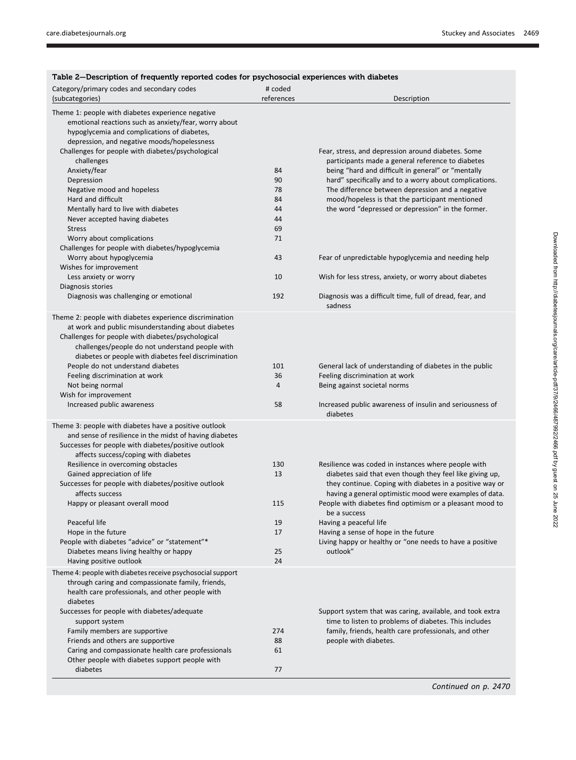| Category/primary codes and secondary codes<br>(subcategories) | # coded<br>references | Description                                                                                                                                                                                                         |  |
|---------------------------------------------------------------|-----------------------|---------------------------------------------------------------------------------------------------------------------------------------------------------------------------------------------------------------------|--|
| Theme 1: people with diabetes experience negative             |                       |                                                                                                                                                                                                                     |  |
| emotional reactions such as anxiety/fear, worry about         |                       |                                                                                                                                                                                                                     |  |
| hypoglycemia and complications of diabetes,                   |                       |                                                                                                                                                                                                                     |  |
| depression, and negative moods/hopelessness                   |                       |                                                                                                                                                                                                                     |  |
| Challenges for people with diabetes/psychological             |                       | Fear, stress, and depression around diabetes. Some                                                                                                                                                                  |  |
| challenges                                                    |                       | participants made a general reference to diabetes                                                                                                                                                                   |  |
| Anxiety/fear                                                  | 84                    | being "hard and difficult in general" or "mentally<br>hard" specifically and to a worry about complications.<br>The difference between depression and a negative<br>mood/hopeless is that the participant mentioned |  |
| Depression                                                    | 90                    |                                                                                                                                                                                                                     |  |
| Negative mood and hopeless                                    | 78                    |                                                                                                                                                                                                                     |  |
| Hard and difficult                                            | 84                    |                                                                                                                                                                                                                     |  |
| Mentally hard to live with diabetes                           | 44                    | the word "depressed or depression" in the former.                                                                                                                                                                   |  |
| Never accepted having diabetes                                | 44                    |                                                                                                                                                                                                                     |  |
| <b>Stress</b>                                                 | 69                    |                                                                                                                                                                                                                     |  |
| Worry about complications                                     | 71                    |                                                                                                                                                                                                                     |  |
| Challenges for people with diabetes/hypoglycemia              |                       |                                                                                                                                                                                                                     |  |
| Worry about hypoglycemia                                      | 43                    | Fear of unpredictable hypoglycemia and needing help                                                                                                                                                                 |  |
| Wishes for improvement                                        |                       |                                                                                                                                                                                                                     |  |
| Less anxiety or worry                                         | 10                    | Wish for less stress, anxiety, or worry about diabetes                                                                                                                                                              |  |
| Diagnosis stories                                             |                       |                                                                                                                                                                                                                     |  |
| Diagnosis was challenging or emotional                        | 192                   | Diagnosis was a difficult time, full of dread, fear, and<br>sadness                                                                                                                                                 |  |
| Theme 2: people with diabetes experience discrimination       |                       |                                                                                                                                                                                                                     |  |
| at work and public misunderstanding about diabetes            |                       |                                                                                                                                                                                                                     |  |
| Challenges for people with diabetes/psychological             |                       |                                                                                                                                                                                                                     |  |
| challenges/people do not understand people with               |                       |                                                                                                                                                                                                                     |  |
| diabetes or people with diabetes feel discrimination          |                       |                                                                                                                                                                                                                     |  |
| People do not understand diabetes                             | 101                   | General lack of understanding of diabetes in the public                                                                                                                                                             |  |
| Feeling discrimination at work                                | 36                    | Feeling discrimination at work                                                                                                                                                                                      |  |
| Not being normal                                              | $\overline{4}$        | Being against societal norms                                                                                                                                                                                        |  |
| Wish for improvement                                          |                       |                                                                                                                                                                                                                     |  |
| Increased public awareness                                    | 58                    | Increased public awareness of insulin and seriousness of<br>diabetes                                                                                                                                                |  |
| Theme 3: people with diabetes have a positive outlook         |                       |                                                                                                                                                                                                                     |  |
| and sense of resilience in the midst of having diabetes       |                       |                                                                                                                                                                                                                     |  |
| Successes for people with diabetes/positive outlook           |                       |                                                                                                                                                                                                                     |  |
| affects success/coping with diabetes                          |                       |                                                                                                                                                                                                                     |  |
| Resilience in overcoming obstacles                            | 130                   |                                                                                                                                                                                                                     |  |
|                                                               | 13                    | Resilience was coded in instances where people with                                                                                                                                                                 |  |
| Gained appreciation of life                                   |                       | diabetes said that even though they feel like giving up,                                                                                                                                                            |  |
| Successes for people with diabetes/positive outlook           |                       | they continue. Coping with diabetes in a positive way or                                                                                                                                                            |  |
| affects success                                               |                       | having a general optimistic mood were examples of data.                                                                                                                                                             |  |
| Happy or pleasant overall mood                                | 115                   | People with diabetes find optimism or a pleasant mood to                                                                                                                                                            |  |
|                                                               |                       | be a success                                                                                                                                                                                                        |  |
| Peaceful life                                                 | 19                    | Having a peaceful life                                                                                                                                                                                              |  |
| Hope in the future                                            | 17                    | Having a sense of hope in the future                                                                                                                                                                                |  |
| People with diabetes "advice" or "statement"*                 |                       | Living happy or healthy or "one needs to have a positive                                                                                                                                                            |  |
| Diabetes means living healthy or happy                        | 25                    | outlook"                                                                                                                                                                                                            |  |
| Having positive outlook                                       | 24                    |                                                                                                                                                                                                                     |  |
| Theme 4: people with diabetes receive psychosocial support    |                       |                                                                                                                                                                                                                     |  |
| through caring and compassionate family, friends,             |                       |                                                                                                                                                                                                                     |  |
| health care professionals, and other people with              |                       |                                                                                                                                                                                                                     |  |
| diabetes                                                      |                       |                                                                                                                                                                                                                     |  |
| Successes for people with diabetes/adequate                   |                       | Support system that was caring, available, and took extra                                                                                                                                                           |  |
| support system                                                |                       | time to listen to problems of diabetes. This includes                                                                                                                                                               |  |
| Family members are supportive                                 | 274                   | family, friends, health care professionals, and other                                                                                                                                                               |  |
| Friends and others are supportive                             | 88                    | people with diabetes.                                                                                                                                                                                               |  |
| Caring and compassionate health care professionals            | 61                    |                                                                                                                                                                                                                     |  |
| Other people with diabetes support people with                |                       |                                                                                                                                                                                                                     |  |
|                                                               |                       |                                                                                                                                                                                                                     |  |
| diabetes                                                      | 77                    |                                                                                                                                                                                                                     |  |

# Table 2—Description of frequently reported codes for psychosocial experiences with diabetes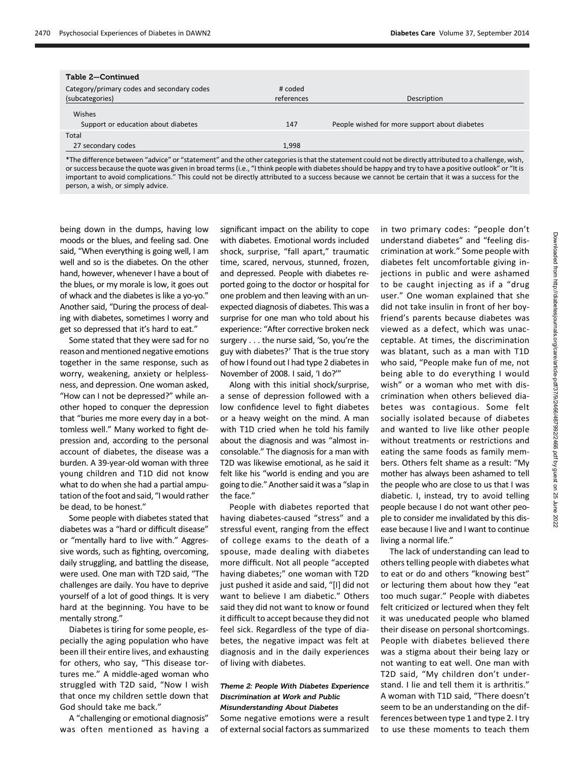| Table 2-Continued                                             |                       |                                               |
|---------------------------------------------------------------|-----------------------|-----------------------------------------------|
| Category/primary codes and secondary codes<br>(subcategories) | # coded<br>references | Description                                   |
| Wishes<br>Support or education about diabetes                 | 147                   | People wished for more support about diabetes |
| Total<br>27 secondary codes                                   | 1,998                 |                                               |

\*The difference between "advice" or "statement" and the other categories is that the statement could not be directly attributed to a challenge, wish, or success because the quote was given in broad terms (i.e., "I think people with diabetes should be happy and try to have a positive outlook" or "It is important to avoid complications." This could not be directly attributed to a success because we cannot be certain that it was a success for the person, a wish, or simply advice.

being down in the dumps, having low moods or the blues, and feeling sad. One said, "When everything is going well, I am well and so is the diabetes. On the other hand, however, whenever I have a bout of the blues, or my morale is low, it goes out of whack and the diabetes is like a yo-yo." Another said, "During the process of dealing with diabetes, sometimes I worry and get so depressed that it's hard to eat."

Some stated that they were sad for no reason and mentioned negative emotions together in the same response, such as worry, weakening, anxiety or helplessness, and depression. One woman asked, "How can I not be depressed?" while another hoped to conquer the depression that "buries me more every day in a bottomless well." Many worked to fight depression and, according to the personal account of diabetes, the disease was a burden. A 39-year-old woman with three young children and T1D did not know what to do when she had a partial amputation of the foot and said, "I would rather be dead, to be honest."

Some people with diabetes stated that diabetes was a "hard or difficult disease" or "mentally hard to live with." Aggressive words, such as fighting, overcoming, daily struggling, and battling the disease, were used. One man with T2D said, "The challenges are daily. You have to deprive yourself of a lot of good things. It is very hard at the beginning. You have to be mentally strong."

Diabetes is tiring for some people, especially the aging population who have been ill their entire lives, and exhausting for others, who say, "This disease tortures me." A middle-aged woman who struggled with T2D said, "Now I wish that once my children settle down that God should take me back."

A "challenging or emotional diagnosis" was often mentioned as having a

significant impact on the ability to cope with diabetes. Emotional words included shock, surprise, "fall apart," traumatic time, scared, nervous, stunned, frozen, and depressed. People with diabetes reported going to the doctor or hospital for one problem and then leaving with an unexpected diagnosis of diabetes. This was a surprise for one man who told about his experience: "After corrective broken neck surgery . . . the nurse said, 'So, you're the guy with diabetes?' That is the true story of how I found out I had type 2 diabetes in November of 2008. I said, 'I do?'"

Along with this initial shock/surprise, a sense of depression followed with a low confidence level to fight diabetes or a heavy weight on the mind. A man with T1D cried when he told his family about the diagnosis and was "almost inconsolable." The diagnosis for a man with T2D was likewise emotional, as he said it felt like his "world is ending and you are going to die." Another said it was a "slap in the face."

People with diabetes reported that having diabetes-caused "stress" and a stressful event, ranging from the effect of college exams to the death of a spouse, made dealing with diabetes more difficult. Not all people "accepted having diabetes;" one woman with T2D just pushed it aside and said, "[I] did not want to believe I am diabetic." Others said they did not want to know or found it difficult to accept because they did not feel sick. Regardless of the type of diabetes, the negative impact was felt at diagnosis and in the daily experiences of living with diabetes.

## Theme 2: People With Diabetes Experience Discrimination at Work and Public Misunderstanding About Diabetes

Some negative emotions were a result of external social factors as summarized in two primary codes: "people don't understand diabetes" and "feeling discrimination at work." Some people with diabetes felt uncomfortable giving injections in public and were ashamed to be caught injecting as if a "drug user." One woman explained that she did not take insulin in front of her boyfriend's parents because diabetes was viewed as a defect, which was unacceptable. At times, the discrimination was blatant, such as a man with T1D who said, "People make fun of me, not being able to do everything I would wish" or a woman who met with discrimination when others believed diabetes was contagious. Some felt socially isolated because of diabetes and wanted to live like other people without treatments or restrictions and eating the same foods as family members. Others felt shame as a result: "My mother has always been ashamed to tell the people who are close to us that I was diabetic. I, instead, try to avoid telling people because I do not want other people to consider me invalidated by this disease because I live and I want to continue living a normal life."

The lack of understanding can lead to others telling people with diabetes what to eat or do and others "knowing best" or lecturing them about how they "eat too much sugar." People with diabetes felt criticized or lectured when they felt it was uneducated people who blamed their disease on personal shortcomings. People with diabetes believed there was a stigma about their being lazy or not wanting to eat well. One man with T2D said, "My children don't understand. I lie and tell them it is arthritis." A woman with T1D said, "There doesn't seem to be an understanding on the differences between type 1 and type 2. I try to use these moments to teach them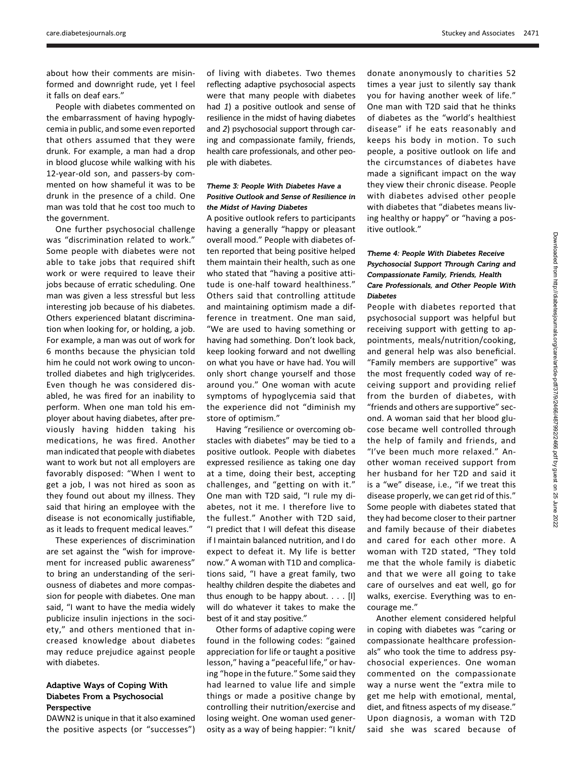about how their comments are misinformed and downright rude, yet I feel it falls on deaf ears."

People with diabetes commented on the embarrassment of having hypoglycemia in public, and some even reported that others assumed that they were drunk. For example, a man had a drop in blood glucose while walking with his 12-year-old son, and passers-by commented on how shameful it was to be drunk in the presence of a child. One man was told that he cost too much to the government.

One further psychosocial challenge was "discrimination related to work." Some people with diabetes were not able to take jobs that required shift work or were required to leave their jobs because of erratic scheduling. One man was given a less stressful but less interesting job because of his diabetes. Others experienced blatant discrimination when looking for, or holding, a job. For example, a man was out of work for 6 months because the physician told him he could not work owing to uncontrolled diabetes and high triglycerides. Even though he was considered disabled, he was fired for an inability to perform. When one man told his employer about having diabetes, after previously having hidden taking his medications, he was fired. Another man indicated that people with diabetes want to work but not all employers are favorably disposed: "When I went to get a job, I was not hired as soon as they found out about my illness. They said that hiring an employee with the disease is not economically justifiable, as it leads to frequent medical leaves."

These experiences of discrimination are set against the "wish for improvement for increased public awareness" to bring an understanding of the seriousness of diabetes and more compassion for people with diabetes. One man said, "I want to have the media widely publicize insulin injections in the society," and others mentioned that increased knowledge about diabetes may reduce prejudice against people with diabetes.

## Adaptive Ways of Coping With Diabetes From a Psychosocial Perspective

DAWN2 is unique in that it also examined the positive aspects (or "successes")

of living with diabetes. Two themes reflecting adaptive psychosocial aspects were that many people with diabetes had 1) a positive outlook and sense of resilience in the midst of having diabetes and 2) psychosocial support through caring and compassionate family, friends, health care professionals, and other people with diabetes.

## Theme 3: People With Diabetes Have a Positive Outlook and Sense of Resilience in the Midst of Having Diabetes

A positive outlook refers to participants having a generally "happy or pleasant overall mood." People with diabetes often reported that being positive helped them maintain their health, such as one who stated that "having a positive attitude is one-half toward healthiness." Others said that controlling attitude and maintaining optimism made a difference in treatment. One man said, "We are used to having something or having had something. Don't look back, keep looking forward and not dwelling on what you have or have had. You will only short change yourself and those around you." One woman with acute symptoms of hypoglycemia said that the experience did not "diminish my store of optimism."

Having "resilience or overcoming obstacles with diabetes" may be tied to a positive outlook. People with diabetes expressed resilience as taking one day at a time, doing their best, accepting challenges, and "getting on with it." One man with T2D said, "I rule my diabetes, not it me. I therefore live to the fullest." Another with T2D said, "I predict that I will defeat this disease if I maintain balanced nutrition, and I do expect to defeat it. My life is better now." A woman with T1D and complications said, "I have a great family, two healthy children despite the diabetes and thus enough to be happy about.  $\ldots$  [I] will do whatever it takes to make the best of it and stay positive."

Other forms of adaptive coping were found in the following codes: "gained appreciation for life or taught a positive lesson," having a "peaceful life," or having "hope in the future." Some said they had learned to value life and simple things or made a positive change by controlling their nutrition/exercise and losing weight. One woman used generosity as a way of being happier: "I knit/ donate anonymously to charities 52 times a year just to silently say thank you for having another week of life." One man with T2D said that he thinks of diabetes as the "world's healthiest disease" if he eats reasonably and keeps his body in motion. To such people, a positive outlook on life and the circumstances of diabetes have made a significant impact on the way they view their chronic disease. People with diabetes advised other people with diabetes that "diabetes means living healthy or happy" or "having a positive outlook."

# Theme 4: People With Diabetes Receive Psychosocial Support Through Caring and Compassionate Family, Friends, Health Care Professionals, and Other People With Diabetes

People with diabetes reported that psychosocial support was helpful but receiving support with getting to appointments, meals/nutrition/cooking, and general help was also beneficial. "Family members are supportive" was the most frequently coded way of receiving support and providing relief from the burden of diabetes, with "friends and others are supportive" second. A woman said that her blood glucose became well controlled through the help of family and friends, and "I've been much more relaxed." Another woman received support from her husband for her T2D and said it is a "we" disease, i.e., "if we treat this disease properly, we can get rid of this." Some people with diabetes stated that they had become closer to their partner and family because of their diabetes and cared for each other more. A woman with T2D stated, "They told me that the whole family is diabetic and that we were all going to take care of ourselves and eat well, go for walks, exercise. Everything was to encourage me."

Another element considered helpful in coping with diabetes was "caring or compassionate healthcare professionals" who took the time to address psychosocial experiences. One woman commented on the compassionate way a nurse went the "extra mile to get me help with emotional, mental, diet, and fitness aspects of my disease." Upon diagnosis, a woman with T2D said she was scared because of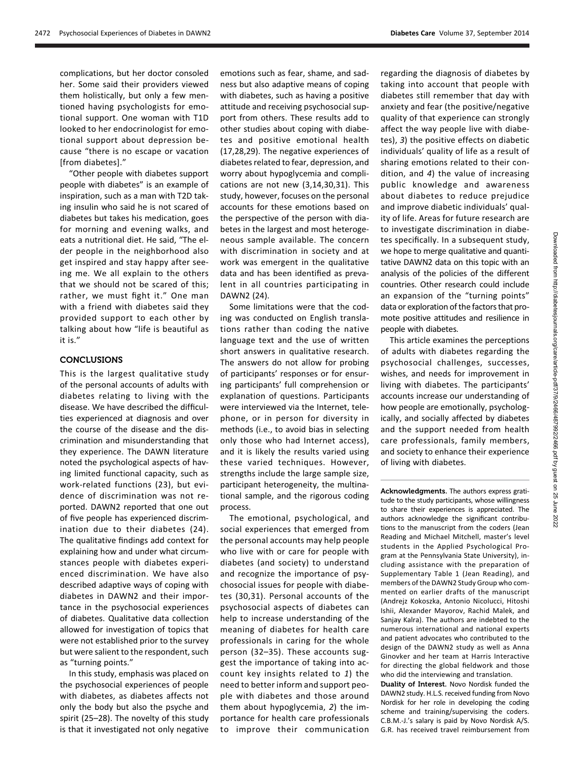complications, but her doctor consoled her. Some said their providers viewed them holistically, but only a few mentioned having psychologists for emotional support. One woman with T1D looked to her endocrinologist for emotional support about depression because "there is no escape or vacation [from diabetes]."

"Other people with diabetes support people with diabetes" is an example of inspiration, such as a man with T2D taking insulin who said he is not scared of diabetes but takes his medication, goes for morning and evening walks, and eats a nutritional diet. He said, "The elder people in the neighborhood also get inspired and stay happy after seeing me. We all explain to the others that we should not be scared of this; rather, we must fight it." One man with a friend with diabetes said they provided support to each other by talking about how "life is beautiful as it is."

## **CONCLUSIONS**

This is the largest qualitative study of the personal accounts of adults with diabetes relating to living with the disease. We have described the difficulties experienced at diagnosis and over the course of the disease and the discrimination and misunderstanding that they experience. The DAWN literature noted the psychological aspects of having limited functional capacity, such as work-related functions (23), but evidence of discrimination was not reported. DAWN2 reported that one out of five people has experienced discrimination due to their diabetes (24). The qualitative findings add context for explaining how and under what circumstances people with diabetes experienced discrimination. We have also described adaptive ways of coping with diabetes in DAWN2 and their importance in the psychosocial experiences of diabetes. Qualitative data collection allowed for investigation of topics that were not established prior to the survey but were salient to the respondent, such as "turning points."

In this study, emphasis was placed on the psychosocial experiences of people with diabetes, as diabetes affects not only the body but also the psyche and spirit (25–28). The novelty of this study is that it investigated not only negative

emotions such as fear, shame, and sadness but also adaptive means of coping with diabetes, such as having a positive attitude and receiving psychosocial support from others. These results add to other studies about coping with diabetes and positive emotional health (17,28,29). The negative experiences of diabetes related to fear, depression, and worry about hypoglycemia and complications are not new (3,14,30,31). This study, however, focuses on the personal accounts for these emotions based on the perspective of the person with diabetes in the largest and most heterogeneous sample available. The concern with discrimination in society and at work was emergent in the qualitative data and has been identified as prevalent in all countries participating in DAWN2 (24).

Some limitations were that the coding was conducted on English translations rather than coding the native language text and the use of written short answers in qualitative research. The answers do not allow for probing of participants' responses or for ensuring participants' full comprehension or explanation of questions. Participants were interviewed via the Internet, telephone, or in person for diversity in methods (i.e., to avoid bias in selecting only those who had Internet access), and it is likely the results varied using these varied techniques. However, strengths include the large sample size, participant heterogeneity, the multinational sample, and the rigorous coding process.

The emotional, psychological, and social experiences that emerged from the personal accounts may help people who live with or care for people with diabetes (and society) to understand and recognize the importance of psychosocial issues for people with diabetes (30,31). Personal accounts of the psychosocial aspects of diabetes can help to increase understanding of the meaning of diabetes for health care professionals in caring for the whole person (32–35). These accounts suggest the importance of taking into account key insights related to 1) the need to better inform and support people with diabetes and those around them about hypoglycemia, 2) the importance for health care professionals to improve their communication

regarding the diagnosis of diabetes by taking into account that people with diabetes still remember that day with anxiety and fear (the positive/negative quality of that experience can strongly affect the way people live with diabetes), 3) the positive effects on diabetic individuals' quality of life as a result of sharing emotions related to their condition, and 4) the value of increasing public knowledge and awareness about diabetes to reduce prejudice and improve diabetic individuals' quality of life. Areas for future research are to investigate discrimination in diabetes specifically. In a subsequent study, we hope to merge qualitative and quantitative DAWN2 data on this topic with an analysis of the policies of the different countries. Other research could include an expansion of the "turning points" data or exploration of the factors that promote positive attitudes and resilience in people with diabetes.

This article examines the perceptions of adults with diabetes regarding the psychosocial challenges, successes, wishes, and needs for improvement in living with diabetes. The participants' accounts increase our understanding of how people are emotionally, psychologically, and socially affected by diabetes and the support needed from health care professionals, family members, and society to enhance their experience of living with diabetes.

Acknowledgments. The authors express gratitude to the study participants, whose willingness to share their experiences is appreciated. The authors acknowledge the significant contributions to the manuscript from the coders (Jean Reading and Michael Mitchell, master's level students in the Applied Psychological Program at the Pennsylvania State University), including assistance with the preparation of [Supplementary Table 1](http://care.diabetesjournals.org/lookup/suppl/doi:10.2337/dc13-2536/-/DC1) (Jean Reading), and members of the DAWN2 Study Group who commented on earlier drafts of the manuscript (Andrejz Kokoszka, Antonio Nicolucci, Hitoshi Ishii, Alexander Mayorov, Rachid Malek, and Sanjay Kalra). The authors are indebted to the numerous international and national experts and patient advocates who contributed to the design of the DAWN2 study as well as Anna Ginovker and her team at Harris Interactive for directing the global fieldwork and those who did the interviewing and translation.

Duality of Interest. Novo Nordisk funded the DAWN2 study. H.L.S. received funding from Novo Nordisk for her role in developing the coding scheme and training/supervising the coders. C.B.M.-J.'s salary is paid by Novo Nordisk A/S. G.R. has received travel reimbursement from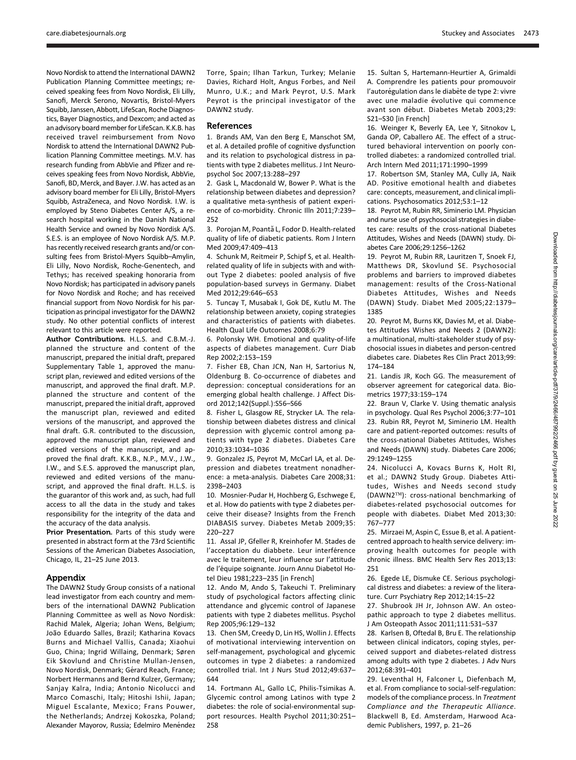[care.diabetesjournals.org](http://care.diabetesjournals.org) Stuckey and Associates 2473

Novo Nordisk to attend the International DAWN2 Publication Planning Committee meetings; received speaking fees from Novo Nordisk, Eli Lilly, Sanofi, Merck Serono, Novartis, Bristol-Myers Squibb, Janssen, Abbott, LifeScan, Roche Diagnostics, Bayer Diagnostics, and Dexcom; and acted as an advisory board member for LifeScan. K.K.B. has received travel reimbursement from Novo Nordisk to attend the International DAWN2 Publication Planning Committee meetings. M.V. has research funding from AbbVie and Pfizer and receives speaking fees from Novo Nordisk, AbbVie, Sanofi, BD, Merck, and Bayer. J.W. has acted as an advisory board member for Eli Lilly, Bristol-Myers Squibb, AstraZeneca, and Novo Nordisk. I.W. is employed by Steno Diabetes Center A/S, a research hospital working in the Danish National Health Service and owned by Novo Nordisk A/S. S.E.S. is an employee of Novo Nordisk A/S. M.P. has recently received research grants and/or consulting fees from Bristol-Myers Squibb-Amylin, Eli Lilly, Novo Nordisk, Roche-Genentech, and Tethys; has received speaking honoraria from Novo Nordisk; has participated in advisory panels for Novo Nordisk and Roche; and has received financial support from Novo Nordisk for his participation as principal investigator for the DAWN2 study. No other potential conflicts of interest relevant to this article were reported.

Author Contributions. H.L.S. and C.B.M.-J. planned the structure and content of the manuscript, prepared the initial draft, prepared Supplementary Table 1, approved the manuscript plan, reviewed and edited versions of the manuscript, and approved the final draft. M.P. planned the structure and content of the manuscript, prepared the initial draft, approved the manuscript plan, reviewed and edited versions of the manuscript, and approved the final draft. G.R. contributed to the discussion, approved the manuscript plan, reviewed and edited versions of the manuscript, and approved the final draft. K.K.B., N.P., M.V., J.W., I.W., and S.E.S. approved the manuscript plan, reviewed and edited versions of the manuscript, and approved the final draft. H.L.S. is the guarantor of this work and, as such, had full access to all the data in the study and takes responsibility for the integrity of the data and the accuracy of the data analysis.

Prior Presentation. Parts of this study were presented in abstract form at the 73rd Scientific Sessions of the American Diabetes Association, Chicago, IL, 21–25 June 2013.

### **Appendix**

The DAWN2 Study Group consists of a national lead investigator from each country and members of the international DAWN2 Publication Planning Committee as well as Novo Nordisk: Rachid Malek, Algeria; Johan Wens, Belgium; João Eduardo Salles, Brazil; Katharina Kovacs Burns and Michael Vallis, Canada; Xiaohui Guo, China; Ingrid Willaing, Denmark; Søren Eik Skovlund and Christine Mullan-Jensen, Novo Nordisk, Denmark: Gérard Reach, France: Norbert Hermanns and Bernd Kulzer, Germany; Sanjay Kalra, India; Antonio Nicolucci and Marco Comaschi, Italy; Hitoshi Ishii, Japan; Miguel Escalante, Mexico; Frans Pouwer, the Netherlands; Andrzej Kokoszka, Poland; Alexander Mayorov, Russia; Edelmiro Menéndez

Torre, Spain; Ilhan Tarkun, Turkey; Melanie Davies, Richard Holt, Angus Forbes, and Neil Munro, U.K.; and Mark Peyrot, U.S. Mark Peyrot is the principal investigator of the DAWN2 study.

### References

1. Brands AM, Van den Berg E, Manschot SM, et al. A detailed profile of cognitive dysfunction and its relation to psychological distress in patients with type 2 diabetes mellitus. J Int Neuropsychol Soc 2007;13:288–297

2. Gask L, Macdonald W, Bower P. What is the relationship between diabetes and depression? a qualitative meta-synthesis of patient experience of co-morbidity. Chronic Illn 2011;7:239– 252

3. Porojan M, Poantă L, Fodor D. Health-related quality of life of diabetic patients. Rom J Intern Med 2009;47:409–413

4. Schunk M, Reitmeir P, Schipf S, et al. Healthrelated quality of life in subjects with and without Type 2 diabetes: pooled analysis of five population-based surveys in Germany. Diabet Med 2012;29:646–653

5. Tuncay T, Musabak I, Gok DE, Kutlu M. The relationship between anxiety, coping strategies and characteristics of patients with diabetes. Health Qual Life Outcomes 2008;6:79

6. Polonsky WH. Emotional and quality-of-life aspects of diabetes management. Curr Diab Rep 2002;2:153–159

7. Fisher EB, Chan JCN, Nan H, Sartorius N, Oldenburg B. Co-occurrence of diabetes and depression: conceptual considerations for an emerging global health challenge. J Affect Disord 2012;142(Suppl.):S56–S66

8. Fisher L, Glasgow RE, Strycker LA. The relationship between diabetes distress and clinical depression with glycemic control among patients with type 2 diabetes. Diabetes Care 2010;33:1034–1036

9. Gonzalez JS, Peyrot M, McCarl LA, et al. Depression and diabetes treatment nonadherence: a meta-analysis. Diabetes Care 2008;31: 2398–2403

10. Mosnier-Pudar H, Hochberg G, Eschwege E, et al. How do patients with type 2 diabetes perceive their disease? Insights from the French DIABASIS survey. Diabetes Metab 2009;35: 220–227

11. Assal JP, Gfeller R, Kreinhofer M. Stades de l'acceptation du diabbete. Leur interférence avec le traitement, leur influence sur l'attitude de l'équipe soignante. Journ Annu Diabetol Hotel Dieu 1981;223–235 [in French]

12. Ando M, Ando S, Takeuchi T. Preliminary study of psychological factors affecting clinic attendance and glycemic control of Japanese patients with type 2 diabetes mellitus. Psychol Rep 2005;96:129–132

13. Chen SM, Creedy D, Lin HS, Wollin J. Effects of motivational interviewing intervention on self-management, psychological and glycemic outcomes in type 2 diabetes: a randomized controlled trial. Int J Nurs Stud 2012;49:637– 644

14. Fortmann AL, Gallo LC, Philis-Tsimikas A. Glycemic control among Latinos with type 2 diabetes: the role of social-environmental support resources. Health Psychol 2011;30:251– 258

15. Sultan S, Hartemann-Heurtier A, Grimaldi A. Comprendre les patients pour promouvoir l'autorégulation dans le diabète de type 2: vivre avec une maladie évolutive qui commence avant son début. Diabetes Metab 2003:29: S21–S30 [in French]

16. Weinger K, Beverly EA, Lee Y, Sitnokov L, Ganda OP, Caballero AE. The effect of a structured behavioral intervention on poorly controlled diabetes: a randomized controlled trial. Arch Intern Med 2011;171:1990–1999

17. Robertson SM, Stanley MA, Cully JA, Naik AD. Positive emotional health and diabetes care: concepts, measurement, and clinical implications. Psychosomatics 2012;53:1–12

18. Peyrot M, Rubin RR, Siminerio LM. Physician and nurse use of psychosocial strategies in diabetes care: results of the cross-national Diabetes Attitudes, Wishes and Needs (DAWN) study. Diabetes Care 2006;29:1256–1262

19. Peyrot M, Rubin RR, Lauritzen T, Snoek FJ, Matthews DR, Skovlund SE. Psychosocial problems and barriers to improved diabetes management: results of the Cross-National Diabetes Attitudes, Wishes and Needs (DAWN) Study. Diabet Med 2005;22:1379– 1385

20. Peyrot M, Burns KK, Davies M, et al. Diabetes Attitudes Wishes and Needs 2 (DAWN2): a multinational, multi-stakeholder study of psychosocial issues in diabetes and person-centred diabetes care. Diabetes Res Clin Pract 2013;99: 174–184

21. Landis JR, Koch GG. The measurement of observer agreement for categorical data. Biometrics 1977;33:159–174

22. Braun V, Clarke V. Using thematic analysis in psychology. Qual Res Psychol 2006;3:77–101 23. Rubin RR, Peyrot M, Siminerio LM. Health care and patient-reported outcomes: results of the cross-national Diabetes Attitudes, Wishes and Needs (DAWN) study. Diabetes Care 2006; 29:1249–1255

24. Nicolucci A, Kovacs Burns K, Holt RI, et al.; DAWN2 Study Group. Diabetes Attitudes, Wishes and Needs second study (DAWN2<sup>TM</sup>): cross-national benchmarking of diabetes-related psychosocial outcomes for people with diabetes. Diabet Med 2013;30: 767–777

25. Mirzaei M, Aspin C, Essue B, et al. A patientcentred approach to health service delivery: improving health outcomes for people with chronic illness. BMC Health Serv Res 2013;13: 251

26. Egede LE, Dismuke CE. Serious psychological distress and diabetes: a review of the literature. Curr Psychiatry Rep 2012;14:15–22

27. Shubrook JH Jr, Johnson AW. An osteopathic approach to type 2 diabetes mellitus. J Am Osteopath Assoc 2011;111:531–537

28. Karlsen B, Oftedal B, Bru E. The relationship between clinical indicators, coping styles, perceived support and diabetes-related distress among adults with type 2 diabetes. J Adv Nurs 2012;68:391–401

29. Leventhal H, Falconer L, Diefenbach M, et al. From compliance to social-self-regulation: models of the compliance process. In Treatment Compliance and the Therapeutic Alliance. Blackwell B, Ed. Amsterdam, Harwood Academic Publishers, 1997, p. 21–26